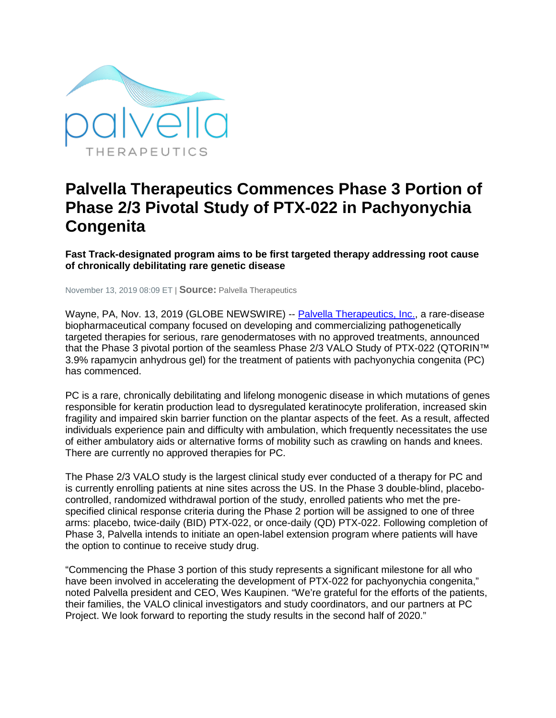

## **Palvella Therapeutics Commences Phase 3 Portion of Phase 2/3 Pivotal Study of PTX-022 in Pachyonychia Congenita**

**Fast Track-designated program aims to be first targeted therapy addressing root cause of chronically debilitating rare genetic disease**

November 13, 2019 08:09 ET | **Source:** Palvella Therapeutics

Wayne, PA, Nov. 13, 2019 (GLOBE NEWSWIRE) -- [Palvella Therapeutics, Inc.,](https://www.globenewswire.com/Tracker?data=e-x_3qGCHlvwn2DFpOxsDZHoR1ihWPinL4SEhyAdWt-jqkvTS5RAleITv-YA-mbP2OyAh5ERsbDJK4yzqZb2Ja_ielczwQAgygS9QxioH-M=) a rare-disease biopharmaceutical company focused on developing and commercializing pathogenetically targeted therapies for serious, rare genodermatoses with no approved treatments, announced that the Phase 3 pivotal portion of the seamless Phase 2/3 VALO Study of PTX-022 (QTORIN™ 3.9% rapamycin anhydrous gel) for the treatment of patients with pachyonychia congenita (PC) has commenced.

PC is a rare, chronically debilitating and lifelong monogenic disease in which mutations of genes responsible for keratin production lead to dysregulated keratinocyte proliferation, increased skin fragility and impaired skin barrier function on the plantar aspects of the feet. As a result, affected individuals experience pain and difficulty with ambulation, which frequently necessitates the use of either ambulatory aids or alternative forms of mobility such as crawling on hands and knees. There are currently no approved therapies for PC.

The Phase 2/3 VALO study is the largest clinical study ever conducted of a therapy for PC and is currently enrolling patients at nine sites across the US. In the Phase 3 double-blind, placebocontrolled, randomized withdrawal portion of the study, enrolled patients who met the prespecified clinical response criteria during the Phase 2 portion will be assigned to one of three arms: placebo, twice-daily (BID) PTX-022, or once-daily (QD) PTX-022. Following completion of Phase 3, Palvella intends to initiate an open-label extension program where patients will have the option to continue to receive study drug.

"Commencing the Phase 3 portion of this study represents a significant milestone for all who have been involved in accelerating the development of PTX-022 for pachyonychia congenita," noted Palvella president and CEO, Wes Kaupinen. "We're grateful for the efforts of the patients, their families, the VALO clinical investigators and study coordinators, and our partners at PC Project. We look forward to reporting the study results in the second half of 2020."